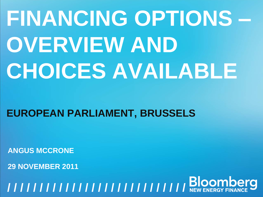# **FINANCING OPTIONS – OVERVIEW AND CHOICES AVAILABLE**

# **EUROPEAN PARLIAMENT, BRUSSELS**

**ANGUS MCCRONE**

**29 NOVEMBER 2011**

**FINANCING OPTIONS – OVERVIEW AND THE CHOICES AVAILABLE** <sup>1</sup> **/ / / / / / / / / / / / / / / / / / / / / / / / / / / / / / / /**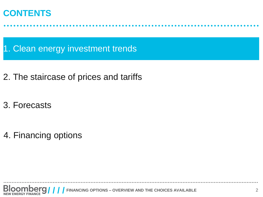#### **CONTENTS**

1. Clean energy investment trends

- 2. The staircase of prices and tariffs
- 3. Forecasts

4. Financing options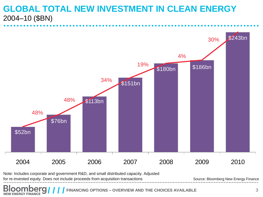#### **GLOBAL TOTAL NEW INVESTMENT IN CLEAN ENERGY** 2004–10 (\$BN)



Note: Includes corporate and government R&D, and small distributed capacity. Adjusted

for re-invested equity. Does not include proceeds from acquisition transactions

Source: Bloomberg New Energy Finance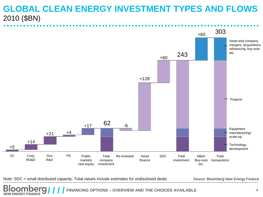#### **GLOBAL CLEAN ENERGY INVESTMENT TYPES AND FLOWS** 2010 (\$BN)



Note: SDC = small distributed capacity. Total values include estimates for undisclosed deals. Source: Bloomberg New Energy Finance

**FINANCING OPTIONS – OVERVIEW AND THE CHOICES AVAILABLE NEW ENERGY FINANCE**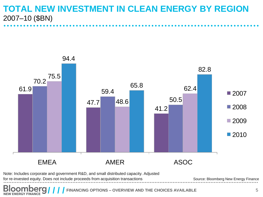#### **TOTAL NEW INVESTMENT IN CLEAN ENERGY BY REGION** 2007–10 (\$BN)



Note: Includes corporate and government R&D, and small distributed capacity. Adjusted

for re-invested equity. Does not include proceeds from acquisition transactions

Source: Bloomberg New Energy Finance

**BIOOMDEr**<br>NEW ENERGY FINANCE FINANCING OPTIONS – OVERVIEW AND THE CHOICES AVAILABLE **5**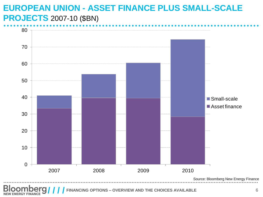# **EUROPEAN UNION - ASSET FINANCE PLUS SMALL-SCALE PROJECTS** 2007-10 (\$BN) 0<br>JI<br>80<br>80



FINANCING OPTIONS – OVERVIEW AND THE CHOICES AVAILABLE **6 ENERGY FINANCE**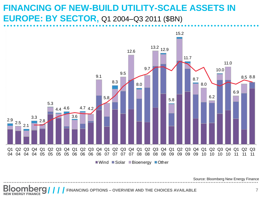#### **FINANCING OF NEW-BUILD UTILITY-SCALE ASSETS IN EUROPE: BY SECTOR,** Q1 2004–Q3 2011 (\$BN)



Source: Bloomberg New Energy Finance

**FINANCING OPTIONS – OVERVIEW AND THE CHOICES AVAILABLE** <sup>7</sup> **/ / / / NEW ENERGY FINANCE**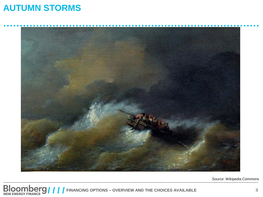#### **AUTUMN STORMS**



Source: Wikipedia Commons

**FINANCISCOM SET AND THE CHOICES AVAILABLE** 8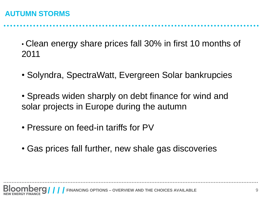#### **AUTUMN STORMS**

• Clean energy share prices fall 30% in first 10 months of 2011

- Solyndra, SpectraWatt, Evergreen Solar bankrupcies
- Spreads widen sharply on debt finance for wind and solar projects in Europe during the autumn
- Pressure on feed-in tariffs for PV
- Gas prices fall further, new shale gas discoveries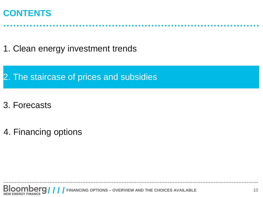#### **CONTENTS**

1. Clean energy investment trends

2. The staircase of prices and subsidies

- 3. Forecasts
- 4. Financing options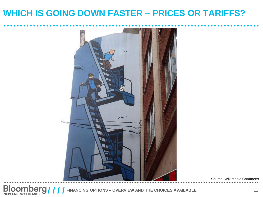#### **WHICH IS GOING DOWN FASTER – PRICES OR TARIFFS?**



Source: Wikimedia Commons

**FILOOMBETS //// FINANCING OPTIONS – OVERVIEW AND THE CHOICES AVAILABLE** 11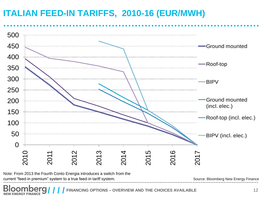# **ITALIAN FEED-IN TARIFFS, 2010-16 (EUR/MWH)**



current "feed-in premium" system to a true feed-in tariff system.

**NEW ENERGY FINANCE** 

**FINANCING OPTIONS – OVERVIEW AND THE CHOICES AVAILABLE** *FINANCING OPTIONS – 12* 

Source: Bloomberg New Energy Finance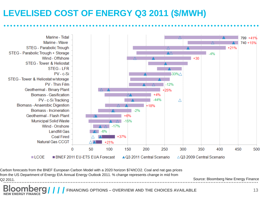## **LEVELISED COST OF ENERGY Q3 2011 (\$/MWH)**



Carbon forecasts from the BNEF European Carbon Model with a 2020 horizon \$74/tCO2. Coal and nat gas prices from the US Department of Energy EIA Annual Energy Outlook 2011. % change represents change in mid from Q2 2011.

Source: Bloomberg New Energy Finance

**FINANCING OPTIONS – OVERVIEW AND THE CHOICES AVAILABLE** 13 **NEW ENERGY FINANCE**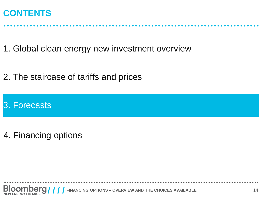#### **CONTENTS**

1. Global clean energy new investment overview

2. The staircase of tariffs and prices

#### 3. Forecasts

4. Financing options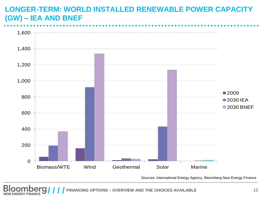#### **LONGER-TERM: WORLD INSTALLED RENEWABLE POWER CAPACITY (GW) – IEA AND BNEF**



**FINANCING OPTIONS – OVERVIEW AND THE CHOICES AVAILABLE** 15 **ENERGY FINANCE**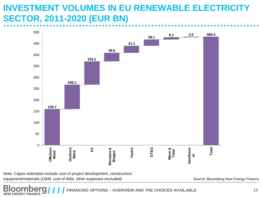#### **INVESTMENT VOLUMES IN EU RENEWABLE ELECTRICITY SECTOR, 2011-2020 (EUR BN)**



Note: Capex estimates include cost of project development, construction, equipment/materials.(O&M, cost of debt, other expenses excluded)

Source: Bloomberg New Energy Finance

**FINANCING OPTIONS – OVERVIEW AND THE CHOICES AVAILABLE** <sup>16</sup> **/ / / / NEW ENERGY FINANCE**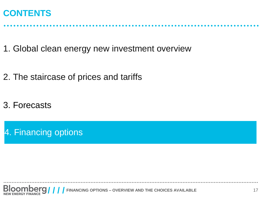#### **CONTENTS**

1. Global clean energy new investment overview

- 2. The staircase of prices and tariffs
- 3. Forecasts

4. Financing options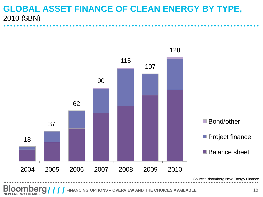#### **GLOBAL ASSET FINANCE OF CLEAN ENERGY BY TYPE,**  2010 (\$BN)



**FINANCING OPTIONS – OVERVIEW AND THE CHOICES AVAILABLE** 18 **ENERGY FINANCE**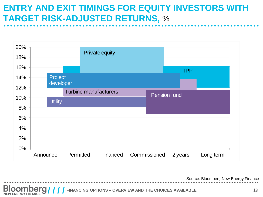## **ENTRY AND EXIT TIMINGS FOR EQUITY INVESTORS WITH TARGET RISK-ADJUSTED RETURNS,** %



Source: Bloomberg New Energy Finance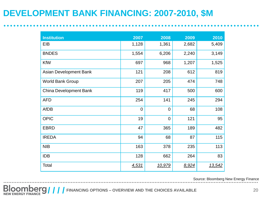## **DEVELOPMENT BANK FINANCING: 2007-2010, \$M**

| <b>Institution</b>      | 2007        | 2008           | 2009  | 2010   |
|-------------------------|-------------|----------------|-------|--------|
| EIB                     | 1,128       | 1,361          | 2,682 | 5,409  |
| <b>BNDES</b>            | 1,554       | 6,206          | 2,240 | 3,149  |
| <b>KfW</b>              | 697         | 968            | 1,207 | 1,525  |
| Asian Development Bank  | 121         | 208            | 612   | 819    |
| <b>World Bank Group</b> | 207         | 205            | 474   | 748    |
| China Development Bank  | 119         | 417            | 500   | 600    |
| <b>AFD</b>              | 254         | 141            | 245   | 294    |
| <b>AfDB</b>             | $\mathbf 0$ | $\mathbf 0$    | 68    | 108    |
| <b>OPIC</b>             | 19          | $\overline{0}$ | 121   | 95     |
| <b>EBRD</b>             | 47          | 365            | 189   | 482    |
| <b>IREDA</b>            | 94          | 68             | 87    | 115    |
| <b>NIB</b>              | 163         | 378            | 235   | 113    |
| <b>IDB</b>              | 128         | 662            | 264   | 83     |
| Total                   | 4,531       | 10,979         | 8,924 | 13,542 |

Source: Bloomberg New Energy Finance

**FINANCIST AND SET OF THE CHOICES AVAILABLE** 20 *PERFET FINANCE 20*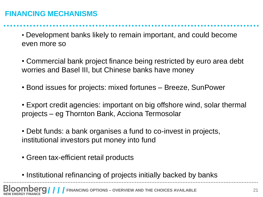#### **FINANCING MECHANISMS**

• Development banks likely to remain important, and could become even more so

• Commercial bank project finance being restricted by euro area debt worries and Basel III, but Chinese banks have money

• Bond issues for projects: mixed fortunes – Breeze, SunPower

• Export credit agencies: important on big offshore wind, solar thermal projects – eg Thornton Bank, Acciona Termosolar

• Debt funds: a bank organises a fund to co-invest in projects, institutional investors put money into fund

- Green tax-efficient retail products
- Institutional refinancing of projects initially backed by banks

**FINANCING OPTIONS – OVERVIEW AND THE CHOICES AVAILABLE** 21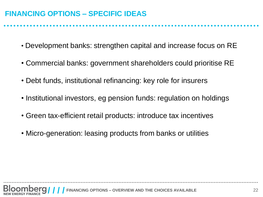#### **FINANCING OPTIONS – SPECIFIC IDEAS**

- Development banks: strengthen capital and increase focus on RE
- Commercial banks: government shareholders could prioritise RE
- Debt funds, institutional refinancing: key role for insurers
- Institutional investors, eg pension funds: regulation on holdings
- Green tax-efficient retail products: introduce tax incentives
- Micro-generation: leasing products from banks or utilities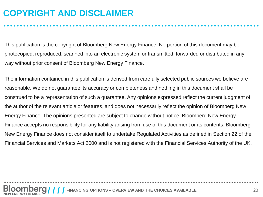## **COPYRIGHT AND DISCLAIMER**

This publication is the copyright of Bloomberg New Energy Finance. No portion of this document may be photocopied, reproduced, scanned into an electronic system or transmitted, forwarded or distributed in any way without prior consent of Bloomberg New Energy Finance.

The information contained in this publication is derived from carefully selected public sources we believe are reasonable. We do not guarantee its accuracy or completeness and nothing in this document shall be construed to be a representation of such a guarantee. Any opinions expressed reflect the current judgment of the author of the relevant article or features, and does not necessarily reflect the opinion of Bloomberg New Energy Finance. The opinions presented are subject to change without notice. Bloomberg New Energy Finance accepts no responsibility for any liability arising from use of this document or its contents. Bloomberg New Energy Finance does not consider itself to undertake Regulated Activities as defined in Section 22 of the Financial Services and Markets Act 2000 and is not registered with the Financial Services Authority of the UK.